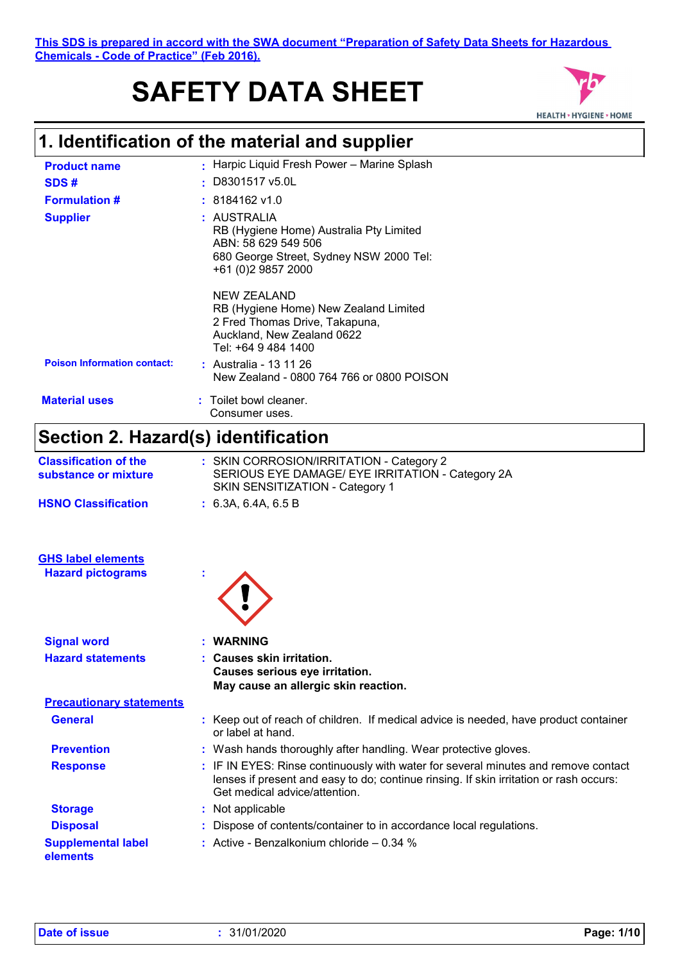# **SAFETY DATA SHEET**



| <b>Product name</b>                                  | : Harpic Liquid Fresh Power - Marine Splash                                                                                                                                                                   |
|------------------------------------------------------|---------------------------------------------------------------------------------------------------------------------------------------------------------------------------------------------------------------|
| SDS#                                                 | D8301517 v5.0L                                                                                                                                                                                                |
| <b>Formulation #</b>                                 | 8184162 v1.0                                                                                                                                                                                                  |
| <b>Supplier</b>                                      | : AUSTRALIA<br>RB (Hygiene Home) Australia Pty Limited<br>ABN: 58 629 549 506<br>680 George Street, Sydney NSW 2000 Tel:<br>+61 (0)2 9857 2000                                                                |
| <b>Poison Information contact:</b>                   | <b>NEW ZEALAND</b><br>RB (Hygiene Home) New Zealand Limited<br>2 Fred Thomas Drive, Takapuna,<br>Auckland, New Zealand 0622<br>Tel: +64 9 484 1400<br>: Australia - 13 11 26                                  |
|                                                      | New Zealand - 0800 764 766 or 0800 POISON                                                                                                                                                                     |
| <b>Material uses</b>                                 | Toilet bowl cleaner.<br>Consumer uses.                                                                                                                                                                        |
| Section 2. Hazard(s) identification                  |                                                                                                                                                                                                               |
| <b>Classification of the</b><br>substance or mixture | : SKIN CORROSION/IRRITATION - Category 2<br>SERIOUS EYE DAMAGE/ EYE IRRITATION - Category 2A<br>SKIN SENSITIZATION - Category 1                                                                               |
| <b>HSNO Classification</b>                           | : 6.3A, 6.4A, 6.5B                                                                                                                                                                                            |
| <b>GHS label elements</b>                            |                                                                                                                                                                                                               |
| <b>Hazard pictograms</b>                             |                                                                                                                                                                                                               |
| <b>Signal word</b>                                   | <b>WARNING</b>                                                                                                                                                                                                |
| <b>Hazard statements</b>                             | <b>Causes skin irritation.</b><br>Causes serious eye irritation.<br>May cause an allergic skin reaction.                                                                                                      |
| <b>Precautionary statements</b>                      |                                                                                                                                                                                                               |
| <b>General</b>                                       | : Keep out of reach of children. If medical advice is needed, have product container<br>or label at hand.                                                                                                     |
| <b>Prevention</b>                                    | : Wash hands thoroughly after handling. Wear protective gloves.                                                                                                                                               |
| <b>Response</b>                                      | : IF IN EYES: Rinse continuously with water for several minutes and remove contact<br>lenses if present and easy to do; continue rinsing. If skin irritation or rash occurs:<br>Get medical advice/attention. |
| <b>Storage</b>                                       | : Not applicable                                                                                                                                                                                              |
| <b>Disposal</b>                                      | : Dispose of contents/container to in accordance local regulations.                                                                                                                                           |
| <b>Supplemental label</b><br>elements                | : Active - Benzalkonium chloride $-0.34$ %                                                                                                                                                                    |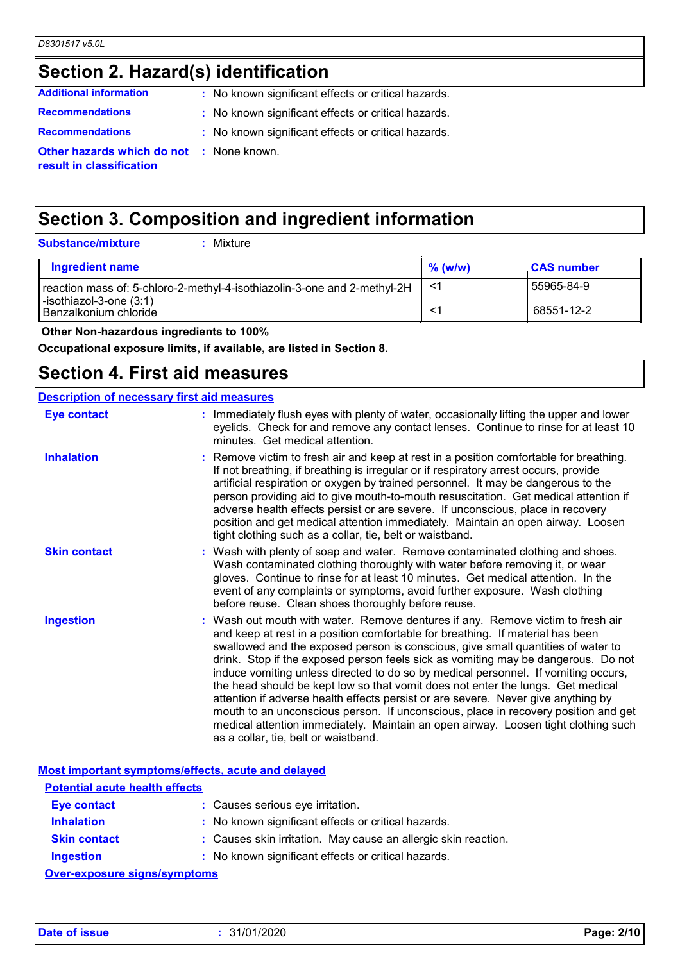# **Section 2. Hazard(s) identification**

| <b>Additional information</b>                                               | : No known significant effects or critical hazards. |
|-----------------------------------------------------------------------------|-----------------------------------------------------|
| <b>Recommendations</b>                                                      | : No known significant effects or critical hazards. |
| <b>Recommendations</b>                                                      | : No known significant effects or critical hazards. |
| <b>Other hazards which do not : None known.</b><br>result in classification |                                                     |

# **Section 3. Composition and ingredient information**

**Substance/mixture :**

: Mixture

| Ingredient name                                                          | $\%$ (w/w) | <b>CAS number</b> |
|--------------------------------------------------------------------------|------------|-------------------|
| reaction mass of: 5-chloro-2-methyl-4-isothiazolin-3-one and 2-methyl-2H | -1         | 55965-84-9        |
| $\vert$ -isothiazol-3-one (3:1)<br>l Benzalkonium chloride               |            | 68551-12-2        |

 **Other Non-hazardous ingredients to 100%**

**Occupational exposure limits, if available, are listed in Section 8.**

#### **Section 4. First aid measures**

#### **Description of necessary first aid measures**

| <b>Eye contact</b>  | : Immediately flush eyes with plenty of water, occasionally lifting the upper and lower<br>eyelids. Check for and remove any contact lenses. Continue to rinse for at least 10<br>minutes. Get medical attention.                                                                                                                                                                                                                                                                                                                                                                                                                                                                                                                                                                                                            |
|---------------------|------------------------------------------------------------------------------------------------------------------------------------------------------------------------------------------------------------------------------------------------------------------------------------------------------------------------------------------------------------------------------------------------------------------------------------------------------------------------------------------------------------------------------------------------------------------------------------------------------------------------------------------------------------------------------------------------------------------------------------------------------------------------------------------------------------------------------|
| <b>Inhalation</b>   | : Remove victim to fresh air and keep at rest in a position comfortable for breathing.<br>If not breathing, if breathing is irregular or if respiratory arrest occurs, provide<br>artificial respiration or oxygen by trained personnel. It may be dangerous to the<br>person providing aid to give mouth-to-mouth resuscitation. Get medical attention if<br>adverse health effects persist or are severe. If unconscious, place in recovery<br>position and get medical attention immediately. Maintain an open airway. Loosen<br>tight clothing such as a collar, tie, belt or waistband.                                                                                                                                                                                                                                 |
| <b>Skin contact</b> | : Wash with plenty of soap and water. Remove contaminated clothing and shoes.<br>Wash contaminated clothing thoroughly with water before removing it, or wear<br>gloves. Continue to rinse for at least 10 minutes. Get medical attention. In the<br>event of any complaints or symptoms, avoid further exposure. Wash clothing<br>before reuse. Clean shoes thoroughly before reuse.                                                                                                                                                                                                                                                                                                                                                                                                                                        |
| <b>Ingestion</b>    | : Wash out mouth with water. Remove dentures if any. Remove victim to fresh air<br>and keep at rest in a position comfortable for breathing. If material has been<br>swallowed and the exposed person is conscious, give small quantities of water to<br>drink. Stop if the exposed person feels sick as vomiting may be dangerous. Do not<br>induce vomiting unless directed to do so by medical personnel. If vomiting occurs,<br>the head should be kept low so that vomit does not enter the lungs. Get medical<br>attention if adverse health effects persist or are severe. Never give anything by<br>mouth to an unconscious person. If unconscious, place in recovery position and get<br>medical attention immediately. Maintain an open airway. Loosen tight clothing such<br>as a collar, tie, belt or waistband. |

|                                       | Most important symptoms/effects, acute and delayed             |
|---------------------------------------|----------------------------------------------------------------|
| <b>Potential acute health effects</b> |                                                                |
| <b>Eye contact</b>                    | : Causes serious eye irritation.                               |
| <b>Inhalation</b>                     | : No known significant effects or critical hazards.            |
| <b>Skin contact</b>                   | : Causes skin irritation. May cause an allergic skin reaction. |
| <b>Ingestion</b>                      | : No known significant effects or critical hazards.            |
| Over-exposure sinns/symptoms          |                                                                |

**Over-exposure signs/symptoms**

**Date of issue :** 31/01/2020 **Page: 2/10**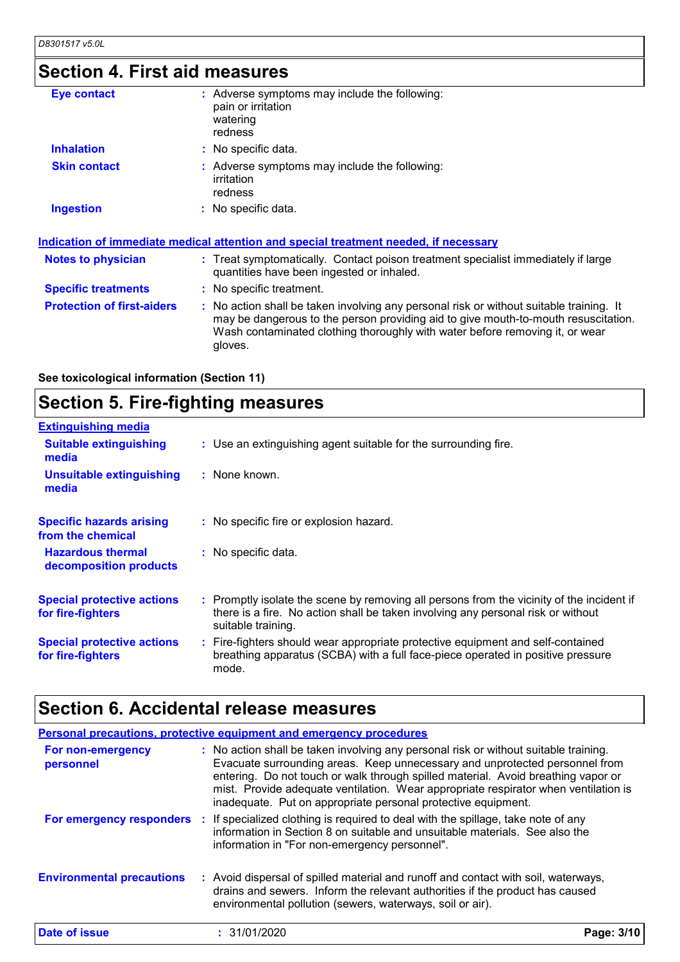# **Section 4. First aid measures**

| Eye contact                       | : Adverse symptoms may include the following:<br>pain or irritation<br>watering<br>redness                                                                                                                                                                               |
|-----------------------------------|--------------------------------------------------------------------------------------------------------------------------------------------------------------------------------------------------------------------------------------------------------------------------|
| <b>Inhalation</b>                 | : No specific data.                                                                                                                                                                                                                                                      |
| <b>Skin contact</b>               | : Adverse symptoms may include the following:<br>irritation<br>redness                                                                                                                                                                                                   |
| <b>Ingestion</b>                  | : No specific data.                                                                                                                                                                                                                                                      |
|                                   | <u>Indication of immediate medical attention and special treatment needed, if necessary</u>                                                                                                                                                                              |
| <b>Notes to physician</b>         | : Treat symptomatically. Contact poison treatment specialist immediately if large<br>quantities have been ingested or inhaled.                                                                                                                                           |
| <b>Specific treatments</b>        | : No specific treatment.                                                                                                                                                                                                                                                 |
| <b>Protection of first-aiders</b> | : No action shall be taken involving any personal risk or without suitable training. It<br>may be dangerous to the person providing aid to give mouth-to-mouth resuscitation.<br>Wash contaminated clothing thoroughly with water before removing it, or wear<br>gloves. |
|                                   |                                                                                                                                                                                                                                                                          |

**See toxicological information (Section 11)**

# **Section 5. Fire-fighting measures**

| <b>Extinguishing media</b>                             |                                                                                                                                                                                                     |
|--------------------------------------------------------|-----------------------------------------------------------------------------------------------------------------------------------------------------------------------------------------------------|
| <b>Suitable extinguishing</b><br>media                 | : Use an extinguishing agent suitable for the surrounding fire.                                                                                                                                     |
| <b>Unsuitable extinguishing</b><br>media               | : None known.                                                                                                                                                                                       |
| <b>Specific hazards arising</b><br>from the chemical   | : No specific fire or explosion hazard.                                                                                                                                                             |
| <b>Hazardous thermal</b><br>decomposition products     | : No specific data.                                                                                                                                                                                 |
| <b>Special protective actions</b><br>for fire-fighters | : Promptly isolate the scene by removing all persons from the vicinity of the incident if<br>there is a fire. No action shall be taken involving any personal risk or without<br>suitable training. |
| <b>Special protective actions</b><br>for fire-fighters | : Fire-fighters should wear appropriate protective equipment and self-contained<br>breathing apparatus (SCBA) with a full face-piece operated in positive pressure<br>mode.                         |

# **Section 6. Accidental release measures**

|                                  | <b>Personal precautions, protective equipment and emergency procedures</b>                                                                                                                                                                                                                                                                                                                                       |            |
|----------------------------------|------------------------------------------------------------------------------------------------------------------------------------------------------------------------------------------------------------------------------------------------------------------------------------------------------------------------------------------------------------------------------------------------------------------|------------|
| For non-emergency<br>personnel   | : No action shall be taken involving any personal risk or without suitable training.<br>Evacuate surrounding areas. Keep unnecessary and unprotected personnel from<br>entering. Do not touch or walk through spilled material. Avoid breathing vapor or<br>mist. Provide adequate ventilation. Wear appropriate respirator when ventilation is<br>inadequate. Put on appropriate personal protective equipment. |            |
| For emergency responders         | : If specialized clothing is required to deal with the spillage, take note of any<br>information in Section 8 on suitable and unsuitable materials. See also the<br>information in "For non-emergency personnel".                                                                                                                                                                                                |            |
| <b>Environmental precautions</b> | : Avoid dispersal of spilled material and runoff and contact with soil, waterways,<br>drains and sewers. Inform the relevant authorities if the product has caused<br>environmental pollution (sewers, waterways, soil or air).                                                                                                                                                                                  |            |
| Date of issue                    | : 31/01/2020                                                                                                                                                                                                                                                                                                                                                                                                     | Page: 3/10 |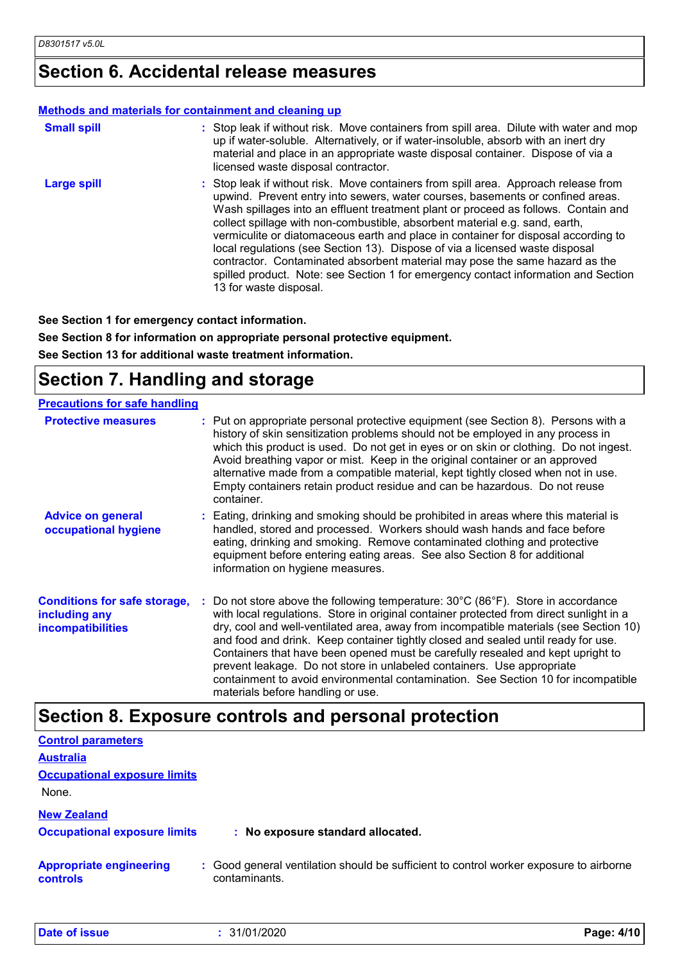## **Section 6. Accidental release measures**

#### **Methods and materials for containment and cleaning up**

| <b>Small spill</b> | : Stop leak if without risk. Move containers from spill area. Dilute with water and mop<br>up if water-soluble. Alternatively, or if water-insoluble, absorb with an inert dry<br>material and place in an appropriate waste disposal container. Dispose of via a<br>licensed waste disposal contractor.                                                                                                                                                                                                                                                                                                                                                                                                        |
|--------------------|-----------------------------------------------------------------------------------------------------------------------------------------------------------------------------------------------------------------------------------------------------------------------------------------------------------------------------------------------------------------------------------------------------------------------------------------------------------------------------------------------------------------------------------------------------------------------------------------------------------------------------------------------------------------------------------------------------------------|
| <b>Large spill</b> | : Stop leak if without risk. Move containers from spill area. Approach release from<br>upwind. Prevent entry into sewers, water courses, basements or confined areas.<br>Wash spillages into an effluent treatment plant or proceed as follows. Contain and<br>collect spillage with non-combustible, absorbent material e.g. sand, earth,<br>vermiculite or diatomaceous earth and place in container for disposal according to<br>local regulations (see Section 13). Dispose of via a licensed waste disposal<br>contractor. Contaminated absorbent material may pose the same hazard as the<br>spilled product. Note: see Section 1 for emergency contact information and Section<br>13 for waste disposal. |

**See Section 1 for emergency contact information.**

**See Section 8 for information on appropriate personal protective equipment.**

**See Section 13 for additional waste treatment information.**

## **Section 7. Handling and storage**

| <b>Precautions for safe handling</b>                                             |                                                                                                                                                                                                                                                                                                                                                                                                                                                                                                                                                                                                                                                                     |
|----------------------------------------------------------------------------------|---------------------------------------------------------------------------------------------------------------------------------------------------------------------------------------------------------------------------------------------------------------------------------------------------------------------------------------------------------------------------------------------------------------------------------------------------------------------------------------------------------------------------------------------------------------------------------------------------------------------------------------------------------------------|
| <b>Protective measures</b>                                                       | : Put on appropriate personal protective equipment (see Section 8). Persons with a<br>history of skin sensitization problems should not be employed in any process in<br>which this product is used. Do not get in eyes or on skin or clothing. Do not ingest.<br>Avoid breathing vapor or mist. Keep in the original container or an approved<br>alternative made from a compatible material, kept tightly closed when not in use.<br>Empty containers retain product residue and can be hazardous. Do not reuse<br>container.                                                                                                                                     |
| <b>Advice on general</b><br>occupational hygiene                                 | : Eating, drinking and smoking should be prohibited in areas where this material is<br>handled, stored and processed. Workers should wash hands and face before<br>eating, drinking and smoking. Remove contaminated clothing and protective<br>equipment before entering eating areas. See also Section 8 for additional<br>information on hygiene measures.                                                                                                                                                                                                                                                                                                       |
| <b>Conditions for safe storage,</b><br>including any<br><b>incompatibilities</b> | Do not store above the following temperature: $30^{\circ}$ C (86 $^{\circ}$ F). Store in accordance<br>with local regulations. Store in original container protected from direct sunlight in a<br>dry, cool and well-ventilated area, away from incompatible materials (see Section 10)<br>and food and drink. Keep container tightly closed and sealed until ready for use.<br>Containers that have been opened must be carefully resealed and kept upright to<br>prevent leakage. Do not store in unlabeled containers. Use appropriate<br>containment to avoid environmental contamination. See Section 10 for incompatible<br>materials before handling or use. |

#### **Section 8. Exposure controls and personal protection**

| <b>Control parameters</b>                                 |                                                                                                         |            |
|-----------------------------------------------------------|---------------------------------------------------------------------------------------------------------|------------|
| <b>Australia</b>                                          |                                                                                                         |            |
| <b>Occupational exposure limits</b><br>None.              |                                                                                                         |            |
| <b>New Zealand</b><br><b>Occupational exposure limits</b> | : No exposure standard allocated.                                                                       |            |
| <b>Appropriate engineering</b><br>controls                | : Good general ventilation should be sufficient to control worker exposure to airborne<br>contaminants. |            |
| <b>Date of issue</b>                                      | : 31/01/2020                                                                                            | Page: 4/10 |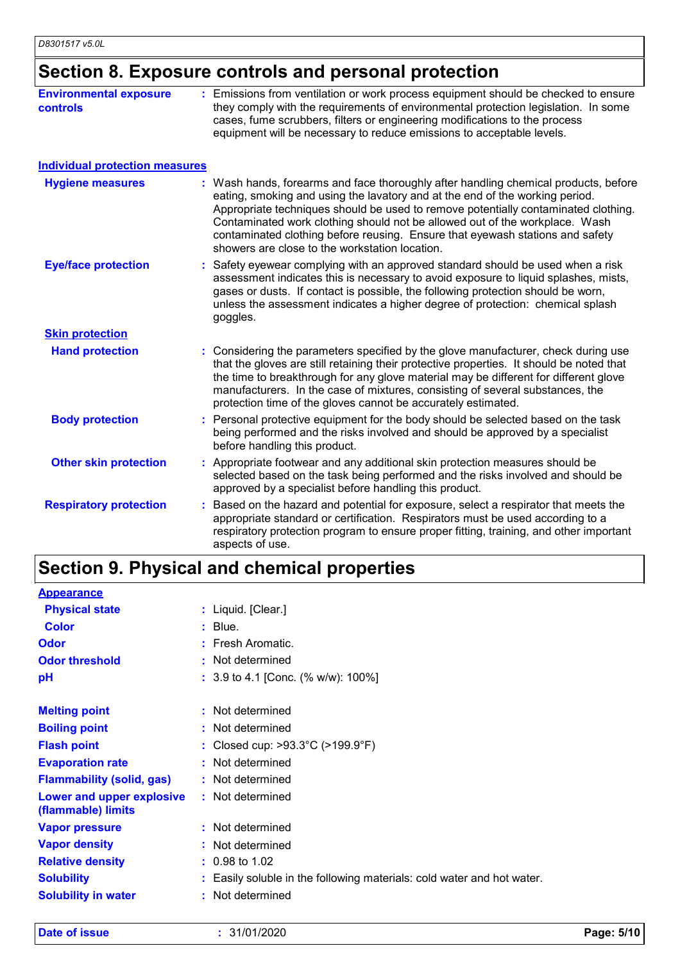# **Section 8. Exposure controls and personal protection**

| <b>Environmental exposure</b><br><b>controls</b> | : Emissions from ventilation or work process equipment should be checked to ensure<br>they comply with the requirements of environmental protection legislation. In some<br>cases, fume scrubbers, filters or engineering modifications to the process<br>equipment will be necessary to reduce emissions to acceptable levels.                                                                                                                                             |
|--------------------------------------------------|-----------------------------------------------------------------------------------------------------------------------------------------------------------------------------------------------------------------------------------------------------------------------------------------------------------------------------------------------------------------------------------------------------------------------------------------------------------------------------|
| <b>Individual protection measures</b>            |                                                                                                                                                                                                                                                                                                                                                                                                                                                                             |
| <b>Hygiene measures</b>                          | : Wash hands, forearms and face thoroughly after handling chemical products, before<br>eating, smoking and using the lavatory and at the end of the working period.<br>Appropriate techniques should be used to remove potentially contaminated clothing.<br>Contaminated work clothing should not be allowed out of the workplace. Wash<br>contaminated clothing before reusing. Ensure that eyewash stations and safety<br>showers are close to the workstation location. |
| <b>Eye/face protection</b>                       | : Safety eyewear complying with an approved standard should be used when a risk<br>assessment indicates this is necessary to avoid exposure to liquid splashes, mists,<br>gases or dusts. If contact is possible, the following protection should be worn,<br>unless the assessment indicates a higher degree of protection: chemical splash<br>goggles.                                                                                                                    |
| <b>Skin protection</b>                           |                                                                                                                                                                                                                                                                                                                                                                                                                                                                             |
| <b>Hand protection</b>                           | Considering the parameters specified by the glove manufacturer, check during use<br>that the gloves are still retaining their protective properties. It should be noted that<br>the time to breakthrough for any glove material may be different for different glove<br>manufacturers. In the case of mixtures, consisting of several substances, the<br>protection time of the gloves cannot be accurately estimated.                                                      |
| <b>Body protection</b>                           | : Personal protective equipment for the body should be selected based on the task<br>being performed and the risks involved and should be approved by a specialist<br>before handling this product.                                                                                                                                                                                                                                                                         |
| <b>Other skin protection</b>                     | : Appropriate footwear and any additional skin protection measures should be<br>selected based on the task being performed and the risks involved and should be<br>approved by a specialist before handling this product.                                                                                                                                                                                                                                                   |
| <b>Respiratory protection</b>                    | Based on the hazard and potential for exposure, select a respirator that meets the<br>appropriate standard or certification. Respirators must be used according to a<br>respiratory protection program to ensure proper fitting, training, and other important<br>aspects of use.                                                                                                                                                                                           |

# **Section 9. Physical and chemical properties**

| <b>Appearance</b>                               |                                                                        |
|-------------------------------------------------|------------------------------------------------------------------------|
| <b>Physical state</b>                           | : Liquid. [Clear.]                                                     |
| <b>Color</b>                                    | $:$ Blue.                                                              |
| <b>Odor</b>                                     | : Fresh Aromatic.                                                      |
| <b>Odor threshold</b>                           | : Not determined                                                       |
| рH                                              | : 3.9 to 4.1 [Conc. $% w/w$ ]: 100%]                                   |
| <b>Melting point</b>                            | : Not determined                                                       |
| <b>Boiling point</b>                            | : Not determined                                                       |
| <b>Flash point</b>                              | : Closed cup: $>93.3^{\circ}$ C ( $>199.9^{\circ}$ F)                  |
| <b>Evaporation rate</b>                         | : Not determined                                                       |
| <b>Flammability (solid, gas)</b>                | : Not determined                                                       |
| Lower and upper explosive<br>(flammable) limits | : Not determined                                                       |
| <b>Vapor pressure</b>                           | : Not determined                                                       |
| <b>Vapor density</b>                            | : Not determined                                                       |
| <b>Relative density</b>                         | $: 0.98$ to 1.02                                                       |
| <b>Solubility</b>                               | : Easily soluble in the following materials: cold water and hot water. |
| <b>Solubility in water</b>                      | : Not determined                                                       |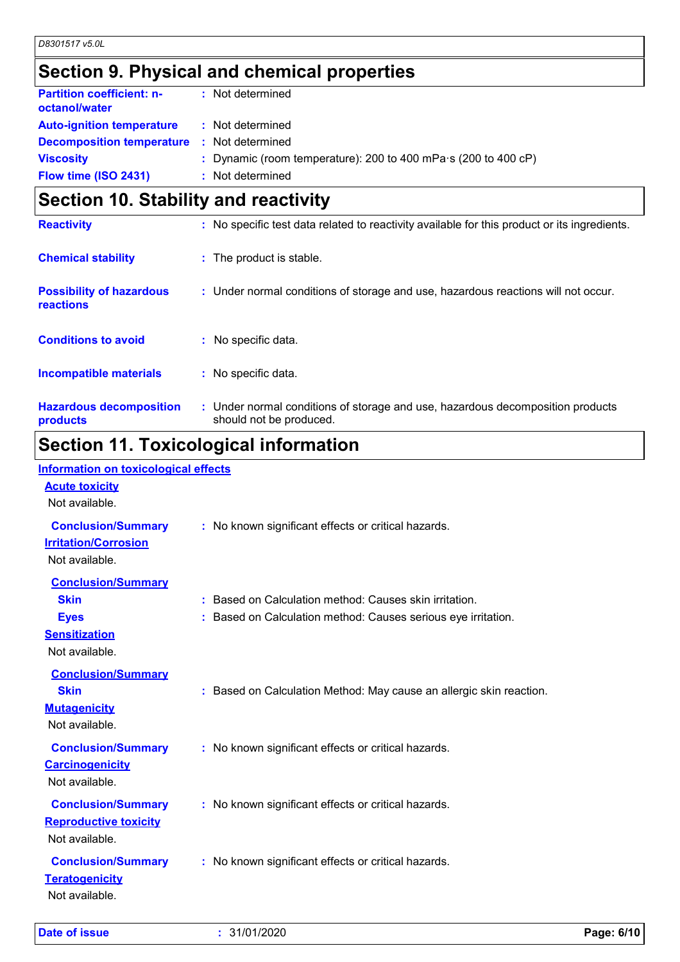# **Section 9. Physical and chemical properties**

| <b>Partition coefficient: n-</b><br>octanol/water | : Not determined                                                       |
|---------------------------------------------------|------------------------------------------------------------------------|
| <b>Auto-ignition temperature</b>                  | : Not determined                                                       |
| <b>Decomposition temperature</b>                  | : Not determined                                                       |
| <b>Viscosity</b>                                  | : Dynamic (room temperature): 200 to 400 mPa $\cdot$ s (200 to 400 cP) |
| Flow time (ISO 2431)                              | : Not determined                                                       |
|                                                   |                                                                        |

## **Section 10. Stability and reactivity**

| <b>Reactivity</b>                            | : No specific test data related to reactivity available for this product or its ingredients.              |
|----------------------------------------------|-----------------------------------------------------------------------------------------------------------|
| <b>Chemical stability</b>                    | : The product is stable.                                                                                  |
| <b>Possibility of hazardous</b><br>reactions | : Under normal conditions of storage and use, hazardous reactions will not occur.                         |
| <b>Conditions to avoid</b>                   | $:$ No specific data.                                                                                     |
| <b>Incompatible materials</b>                | : No specific data.                                                                                       |
| <b>Hazardous decomposition</b><br>products   | : Under normal conditions of storage and use, hazardous decomposition products<br>should not be produced. |
|                                              |                                                                                                           |

## **Section 11. Toxicological information Information on toxicological effects**

| Information on toxicological effects<br><b>Acute toxicity</b><br>Not available.                   |                                                                                                                         |
|---------------------------------------------------------------------------------------------------|-------------------------------------------------------------------------------------------------------------------------|
| <b>Conclusion/Summary</b><br><b>Irritation/Corrosion</b><br>Not available.                        | : No known significant effects or critical hazards.                                                                     |
| <b>Conclusion/Summary</b><br><b>Skin</b><br><b>Eyes</b><br><b>Sensitization</b><br>Not available. | : Based on Calculation method: Causes skin irritation.<br>: Based on Calculation method: Causes serious eye irritation. |
| <b>Conclusion/Summary</b><br><b>Skin</b><br><b>Mutagenicity</b><br>Not available.                 | : Based on Calculation Method: May cause an allergic skin reaction.                                                     |
| <b>Conclusion/Summary</b><br><b>Carcinogenicity</b><br>Not available.                             | : No known significant effects or critical hazards.                                                                     |
| <b>Conclusion/Summary</b><br><b>Reproductive toxicity</b><br>Not available.                       | : No known significant effects or critical hazards.                                                                     |
| <b>Conclusion/Summary</b><br><b>Teratogenicity</b><br>Not available.                              | : No known significant effects or critical hazards.                                                                     |

**Date of issue :** 31/01/2020 **Page: 6/10**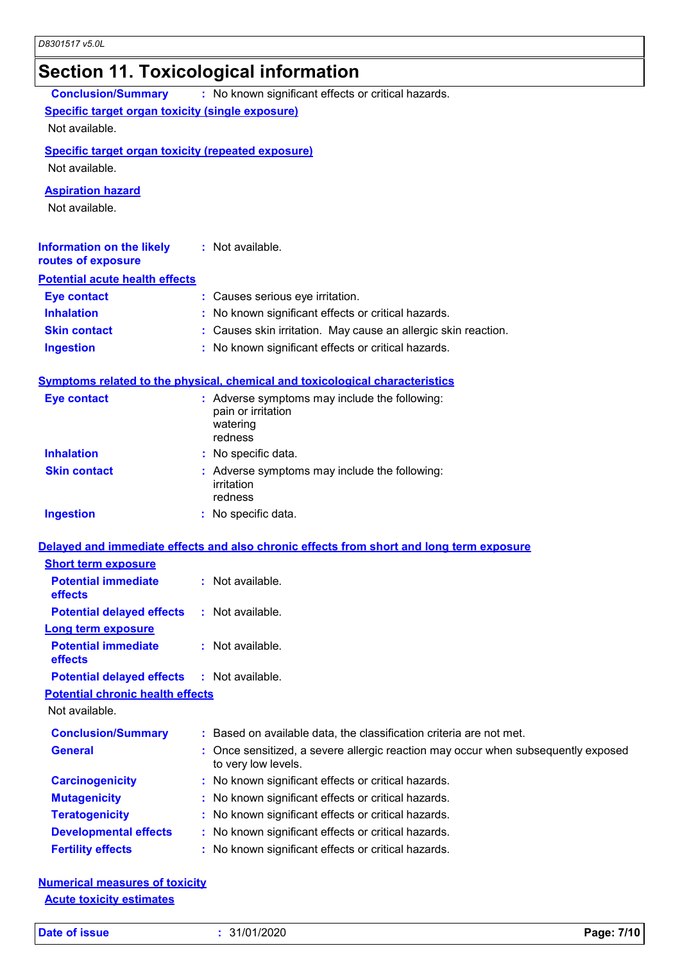# **Section 11. Toxicological information**

| <b>Conclusion/Summary</b>                                 | : No known significant effects or critical hazards.                                                    |  |  |  |  |
|-----------------------------------------------------------|--------------------------------------------------------------------------------------------------------|--|--|--|--|
|                                                           | <b>Specific target organ toxicity (single exposure)</b>                                                |  |  |  |  |
| Not available.                                            |                                                                                                        |  |  |  |  |
| <b>Specific target organ toxicity (repeated exposure)</b> |                                                                                                        |  |  |  |  |
| Not available.                                            |                                                                                                        |  |  |  |  |
| <b>Aspiration hazard</b>                                  |                                                                                                        |  |  |  |  |
| Not available.                                            |                                                                                                        |  |  |  |  |
|                                                           |                                                                                                        |  |  |  |  |
| <b>Information on the likely</b><br>routes of exposure    | : Not available.                                                                                       |  |  |  |  |
| <b>Potential acute health effects</b>                     |                                                                                                        |  |  |  |  |
| <b>Eye contact</b>                                        | : Causes serious eye irritation.                                                                       |  |  |  |  |
| <b>Inhalation</b>                                         | : No known significant effects or critical hazards.                                                    |  |  |  |  |
| <b>Skin contact</b>                                       | : Causes skin irritation. May cause an allergic skin reaction.                                         |  |  |  |  |
| <b>Ingestion</b>                                          | : No known significant effects or critical hazards.                                                    |  |  |  |  |
|                                                           |                                                                                                        |  |  |  |  |
|                                                           | <b>Symptoms related to the physical, chemical and toxicological characteristics</b>                    |  |  |  |  |
| <b>Eye contact</b>                                        | : Adverse symptoms may include the following:                                                          |  |  |  |  |
|                                                           | pain or irritation                                                                                     |  |  |  |  |
|                                                           | watering<br>redness                                                                                    |  |  |  |  |
| <b>Inhalation</b>                                         | : No specific data.                                                                                    |  |  |  |  |
| <b>Skin contact</b>                                       | : Adverse symptoms may include the following:                                                          |  |  |  |  |
|                                                           | irritation                                                                                             |  |  |  |  |
|                                                           | redness                                                                                                |  |  |  |  |
| <b>Ingestion</b>                                          | : No specific data.                                                                                    |  |  |  |  |
|                                                           | Delayed and immediate effects and also chronic effects from short and long term exposure               |  |  |  |  |
| <b>Short term exposure</b>                                |                                                                                                        |  |  |  |  |
| <b>Potential immediate</b>                                | : Not available.                                                                                       |  |  |  |  |
| effects                                                   |                                                                                                        |  |  |  |  |
| <b>Potential delayed effects</b>                          | $:$ Not available.                                                                                     |  |  |  |  |
| <b>Long term exposure</b>                                 |                                                                                                        |  |  |  |  |
| <b>Potential immediate</b>                                | : Not available.                                                                                       |  |  |  |  |
| effects                                                   |                                                                                                        |  |  |  |  |
| <b>Potential delayed effects</b>                          | : Not available.                                                                                       |  |  |  |  |
| <b>Potential chronic health effects</b><br>Not available. |                                                                                                        |  |  |  |  |
|                                                           |                                                                                                        |  |  |  |  |
| <b>Conclusion/Summary</b>                                 | : Based on available data, the classification criteria are not met.                                    |  |  |  |  |
| <b>General</b>                                            | Once sensitized, a severe allergic reaction may occur when subsequently exposed<br>to very low levels. |  |  |  |  |
| <b>Carcinogenicity</b>                                    | : No known significant effects or critical hazards.                                                    |  |  |  |  |
| <b>Mutagenicity</b>                                       | : No known significant effects or critical hazards.                                                    |  |  |  |  |
| <b>Teratogenicity</b>                                     | : No known significant effects or critical hazards.                                                    |  |  |  |  |
| <b>Developmental effects</b>                              | : No known significant effects or critical hazards.                                                    |  |  |  |  |
| <b>Fertility effects</b>                                  | : No known significant effects or critical hazards.                                                    |  |  |  |  |

**Numerical measures of toxicity Acute toxicity estimates**

**Date of issue :** 31/01/2020 **Page: 7/10**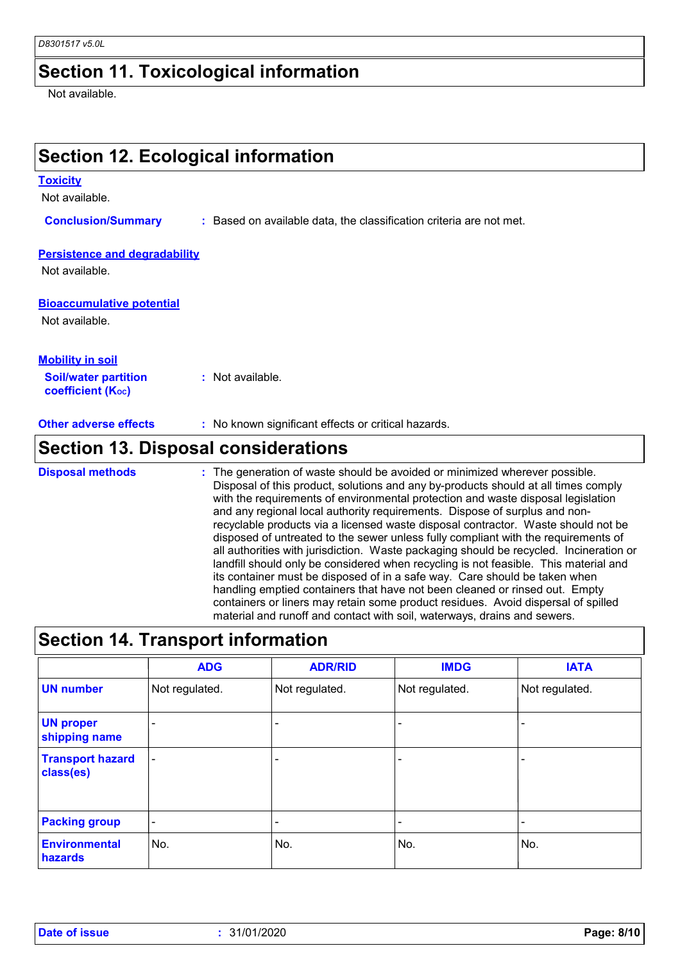#### **Section 11. Toxicological information**

Not available.

# **Section 12. Ecological information**

#### **Toxicity**

Not available.

**Conclusion/Summary :** Based on available data, the classification criteria are not met.

#### **Persistence and degradability**

Not available.

#### **Bioaccumulative potential**

Not available.

| <b>Mobility in soil</b>                                 |                  |
|---------------------------------------------------------|------------------|
| <b>Soil/water partition</b><br><b>coefficient (Koc)</b> | : Not available. |

**Other adverse effects** : No known significant effects or critical hazards.

## **Section 13. Disposal considerations**

The generation of waste should be avoided or minimized wherever possible. Disposal of this product, solutions and any by-products should at all times comply with the requirements of environmental protection and waste disposal legislation and any regional local authority requirements. Dispose of surplus and nonrecyclable products via a licensed waste disposal contractor. Waste should not be disposed of untreated to the sewer unless fully compliant with the requirements of all authorities with jurisdiction. Waste packaging should be recycled. Incineration or landfill should only be considered when recycling is not feasible. This material and its container must be disposed of in a safe way. Care should be taken when handling emptied containers that have not been cleaned or rinsed out. Empty containers or liners may retain some product residues. Avoid dispersal of spilled material and runoff and contact with soil, waterways, drains and sewers. **Disposal methods :**

## **Section 14. Transport information**

|                                      | <b>ADG</b>               | <b>ADR/RID</b>           | <b>IMDG</b>              | <b>IATA</b>    |
|--------------------------------------|--------------------------|--------------------------|--------------------------|----------------|
| <b>UN number</b>                     | Not regulated.           | Not regulated.           | Not regulated.           | Not regulated. |
| <b>UN proper</b><br>shipping name    | $\overline{\phantom{0}}$ |                          |                          |                |
| <b>Transport hazard</b><br>class(es) | $\overline{\phantom{a}}$ | $\overline{\phantom{0}}$ | $\overline{\phantom{a}}$ |                |
| <b>Packing group</b>                 | $\overline{\phantom{a}}$ | $\overline{\phantom{0}}$ |                          |                |
| <b>Environmental</b><br>hazards      | No.                      | No.                      | No.                      | No.            |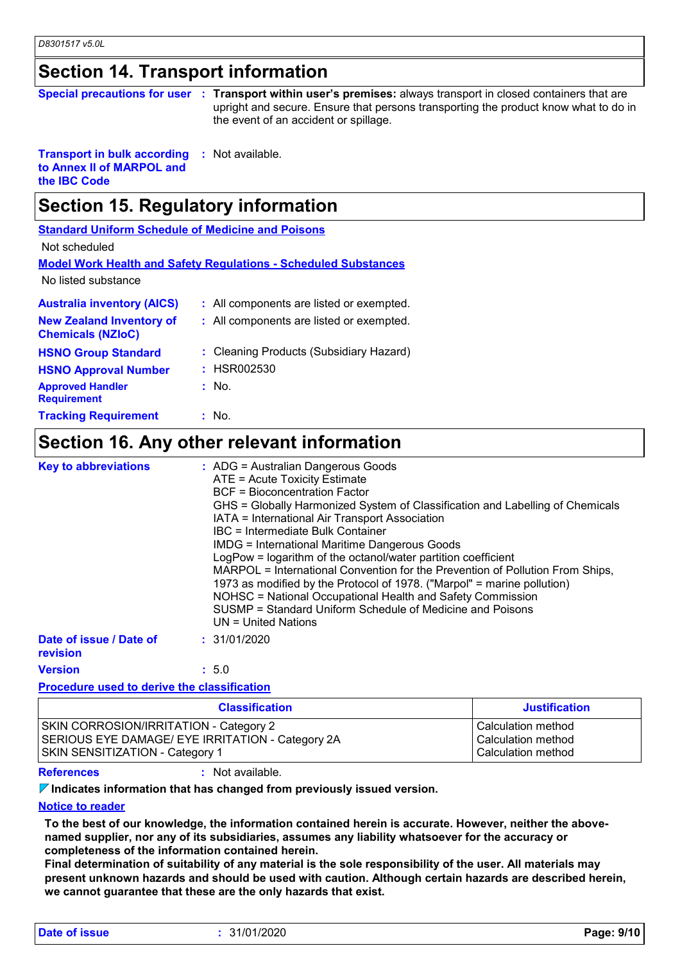#### **Section 14. Transport information**

|  |  | <b>Special precautions for user : Transport with</b> |
|--|--|------------------------------------------------------|
|  |  |                                                      |

**Transport with user's premises:** always transport in closed containers that are upright and secure. Ensure that persons transporting the product know what to do in the event of an accident or spillage.

**Transport in bulk according to Annex II of MARPOL and the IBC Code :** Not available.

## **Section 15. Regulatory information**

**Standard Uniform Schedule of Medicine and Poisons**

Not scheduled

**Model Work Health and Safety Regulations - Scheduled Substances**

No listed substance

| <b>Australia inventory (AICS)</b>                           | : All components are listed or exempted. |
|-------------------------------------------------------------|------------------------------------------|
| <b>New Zealand Inventory of</b><br><b>Chemicals (NZIoC)</b> | : All components are listed or exempted. |
| <b>HSNO Group Standard</b>                                  | : Cleaning Products (Subsidiary Hazard)  |
| <b>HSNO Approval Number</b>                                 | : HSR002530                              |
| <b>Approved Handler</b><br><b>Requirement</b>               | $:$ No.                                  |
| <b>Tracking Requirement</b>                                 | : No.                                    |

#### **Section 16. Any other relevant information**

| <b>Key to abbreviations</b>         | : ADG = Australian Dangerous Goods<br>ATE = Acute Toxicity Estimate<br><b>BCF</b> = Bioconcentration Factor<br>GHS = Globally Harmonized System of Classification and Labelling of Chemicals<br>IATA = International Air Transport Association<br>IBC = Intermediate Bulk Container<br><b>IMDG = International Maritime Dangerous Goods</b><br>LogPow = logarithm of the octanol/water partition coefficient<br>MARPOL = International Convention for the Prevention of Pollution From Ships,<br>1973 as modified by the Protocol of 1978. ("Marpol" = marine pollution)<br>NOHSC = National Occupational Health and Safety Commission<br>SUSMP = Standard Uniform Schedule of Medicine and Poisons<br>$UN = United Nations$ |
|-------------------------------------|------------------------------------------------------------------------------------------------------------------------------------------------------------------------------------------------------------------------------------------------------------------------------------------------------------------------------------------------------------------------------------------------------------------------------------------------------------------------------------------------------------------------------------------------------------------------------------------------------------------------------------------------------------------------------------------------------------------------------|
| Date of issue / Date of<br>revision | : 31/01/2020                                                                                                                                                                                                                                                                                                                                                                                                                                                                                                                                                                                                                                                                                                                 |
| <b>Version</b>                      | : 5.0                                                                                                                                                                                                                                                                                                                                                                                                                                                                                                                                                                                                                                                                                                                        |

#### **Procedure used to derive the classification**

| <b>Classification</b>                            | <b>Justification</b> |
|--------------------------------------------------|----------------------|
| <b>SKIN CORROSION/IRRITATION - Category 2</b>    | Calculation method   |
| SERIOUS EYE DAMAGE/ EYE IRRITATION - Category 2A | Calculation method   |
| <b>SKIN SENSITIZATION - Category 1</b>           | Calculation method   |

**References :** Not available.

**Indicates information that has changed from previously issued version.**

#### **Notice to reader**

**To the best of our knowledge, the information contained herein is accurate. However, neither the abovenamed supplier, nor any of its subsidiaries, assumes any liability whatsoever for the accuracy or completeness of the information contained herein.**

**Final determination of suitability of any material is the sole responsibility of the user. All materials may present unknown hazards and should be used with caution. Although certain hazards are described herein, we cannot guarantee that these are the only hazards that exist.**